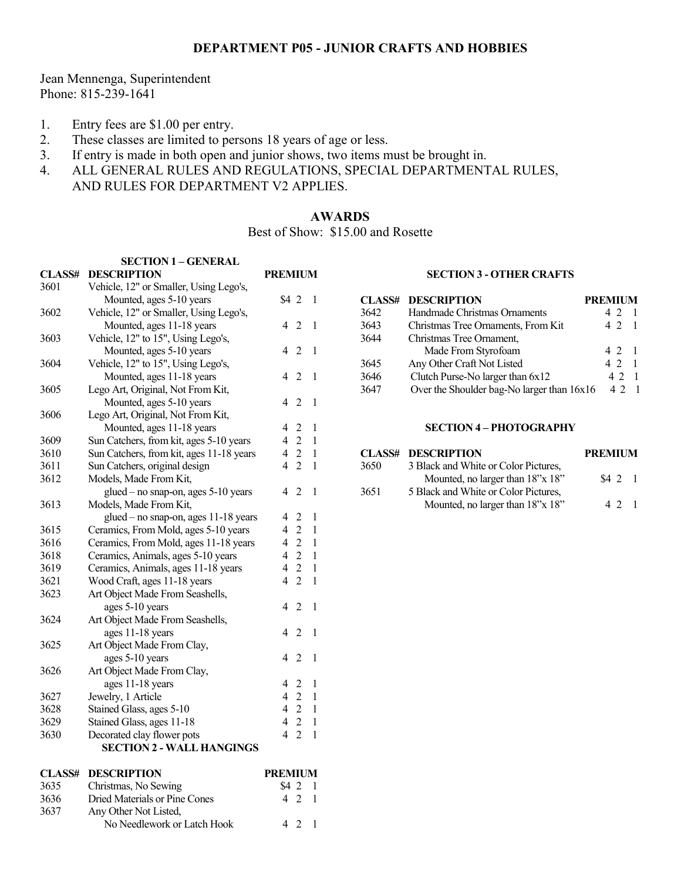## **DEPARTMENT P05 - JUNIOR CRAFTS AND HOBBIES**

Jean Mennenga, Superintendent Phone: 815-239-1641

- 1. Entry fees are \$1.00 per entry.
- 2. These classes are limited to persons 18 years of age or less.
- 3. If entry is made in both open and junior shows, two items must be brought in.
- 4. ALL GENERAL RULES AND REGULATIONS, SPECIAL DEPARTMENTAL RULES, AND RULES FOR DEPARTMENT V2 APPLIES.

## **AWARDS**

Best of Show: \$15.00 and Rosette

|               | <b>SECTION 1 - GENERAL</b>               |                                                 |  |
|---------------|------------------------------------------|-------------------------------------------------|--|
| <b>CLASS#</b> | <b>DESCRIPTION</b>                       | <b>PREMIUM</b>                                  |  |
| 3601          | Vehicle, 12" or Smaller, Using Lego's,   |                                                 |  |
|               | Mounted, ages 5-10 years                 | S42<br>1                                        |  |
| 3602          | Vehicle, 12" or Smaller, Using Lego's,   |                                                 |  |
|               | Mounted, ages 11-18 years                | $\overline{2}$<br>4<br>1                        |  |
| 3603          | Vehicle, 12" to 15", Using Lego's,       |                                                 |  |
|               | Mounted, ages 5-10 years                 | $\mathfrak{D}$<br>4<br>1                        |  |
| 3604          | Vehicle, 12" to 15", Using Lego's,       |                                                 |  |
|               | Mounted, ages 11-18 years                | 2<br>4<br>1                                     |  |
| 3605          | Lego Art, Original, Not From Kit,        |                                                 |  |
|               | Mounted, ages 5-10 years                 | $\overline{2}$<br>4<br>1                        |  |
| 3606          | Lego Art, Original, Not From Kit,        |                                                 |  |
|               | Mounted, ages 11-18 years                | 4<br>2<br>1                                     |  |
| 3609          | Sun Catchers, from kit, ages 5-10 years  | $\overline{2}$<br>$\overline{4}$<br>1           |  |
| 3610          | Sun Catchers, from kit, ages 11-18 years | $\overline{2}$<br>$\overline{4}$<br>1           |  |
| 3611          | Sun Catchers, original design            | $\overline{2}$<br>4<br>1                        |  |
| 3612          | Models, Made From Kit,                   |                                                 |  |
|               | glued - no snap-on, ages 5-10 years      | 2<br>4<br>1                                     |  |
| 3613          | Models, Made From Kit,                   |                                                 |  |
|               | glued - no snap-on, ages 11-18 years     | 2<br>1<br>4                                     |  |
| 3615          | Ceramics, From Mold, ages 5-10 years     | $\overline{2}$<br>$\overline{4}$<br>1           |  |
| 3616          | Ceramics, From Mold, ages 11-18 years    | $\overline{2}$<br>$\overline{4}$<br>1           |  |
| 3618          | Ceramics, Animals, ages 5-10 years       | $\overline{c}$<br>4<br>1                        |  |
| 3619          | Ceramics, Animals, ages 11-18 years      | $\overline{c}$<br>1<br>4                        |  |
| 3621          | Wood Craft, ages 11-18 years             | $\overline{2}$<br>4<br>1                        |  |
| 3623          | Art Object Made From Seashells,          |                                                 |  |
|               | ages 5-10 years                          | 4<br>2<br>1                                     |  |
| 3624          | Art Object Made From Seashells,          |                                                 |  |
|               | ages 11-18 years                         | $\overline{2}$<br>4<br>1                        |  |
| 3625          | Art Object Made From Clay,               |                                                 |  |
|               | ages 5-10 years                          | 4<br>2<br>1                                     |  |
| 3626          | Art Object Made From Clay,               |                                                 |  |
|               | ages 11-18 years                         | 4<br>2<br>1                                     |  |
| 3627          | Jewelry, 1 Article                       | $\sqrt{2}$<br>4<br>1                            |  |
| 3628          | Stained Glass, ages 5-10                 | $\overline{2}$<br>4<br>1                        |  |
| 3629          | Stained Glass, ages 11-18                | $\overline{2}$<br>4<br>1                        |  |
| 3630          | Decorated clay flower pots               | $\overline{2}$<br>$\overline{\mathcal{L}}$<br>1 |  |
|               | <b>SECTION 2 - WALL HANGINGS</b>         |                                                 |  |
|               |                                          |                                                 |  |
| <b>CLASS#</b> | <b>DESCRIPTION</b>                       | <b>PREMIUM</b>                                  |  |
| 3635          | Christmas, No Sewing                     | $\$4$ 2<br>1                                    |  |
| 3636          | Dried Materials or Pine Cones            | $\overline{2}$<br>4<br>1                        |  |

No Needlework or Latch Hook 4 2 1

3637 Any Other Not Listed,

### **SECTION 3 - OTHER CRAFTS**

|      | <b>CLASS# DESCRIPTION</b>                  | <b>PREMIUM</b> |                          |
|------|--------------------------------------------|----------------|--------------------------|
| 3642 | Handmade Christmas Ornaments               | 42             |                          |
| 3643 | Christmas Tree Ornaments, From Kit         | 4 2 1          |                          |
| 3644 | Christmas Tree Ornament,                   |                |                          |
|      | Made From Styrofoam                        | 421            |                          |
| 3645 | Any Other Craft Not Listed                 | 4 2            |                          |
| 3646 | Clutch Purse-No larger than 6x12           | 42             | $\overline{\phantom{0}}$ |
| 3647 | Over the Shoulder bag-No larger than 16x16 | 421            |                          |

#### **SECTION 4 – PHOTOGRAPHY**

|      | <b>CLASS# DESCRIPTION</b>            | <b>PREMIUM</b> |  |
|------|--------------------------------------|----------------|--|
| 3650 | 3 Black and White or Color Pictures, |                |  |
|      | Mounted, no larger than 18"x 18"     | $$4\;2\;1$     |  |
| 3651 | 5 Black and White or Color Pictures, |                |  |
|      | Mounted, no larger than 18"x 18"     | 42             |  |